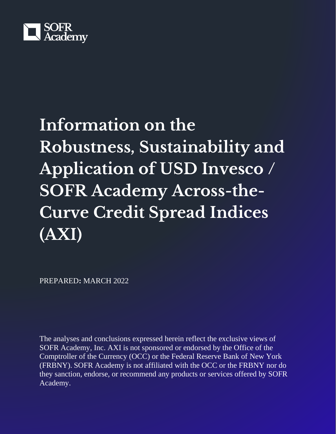

# **Information on the Robustness, Sustainability and Application of USD Invesco / SOFR Academy Across-the-Curve Credit Spread Indices (AXI)**

PREPARED**:** MARCH 2022

The analyses and conclusions expressed herein reflect the exclusive views of SOFR Academy, Inc. AXI is not sponsored or endorsed by the Office of the Comptroller of the Currency (OCC) or the Federal Reserve Bank of New York (FRBNY). SOFR Academy is not affiliated with the OCC or the FRBNY nor do they sanction, endorse, or recommend any products or services offered by SOFR Academy.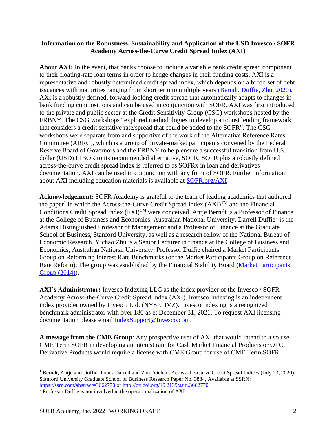## **Information on the Robustness, Sustainability and Application of the USD Invesco / SOFR Academy Across-the-Curve Credit Spread Index (AXI)**

About AXI: In the event, that banks choose to include a variable bank credit spread component to their floating-rate loan terms in order to hedge changes in their funding costs, AXI is a representative and robustly determined credit spread index, which depends on a broad set of debt issuances with maturities ranging from short term to multiple years [\(Berndt, Duffie, Zhu, 2020\).](https://papers.ssrn.com/sol3/papers.cfm?abstract_id=3662770) AXI is a robustly defined, forward looking credit spread that automatically adapts to changes in bank funding compositions and can be used in conjunction with SOFR. AXI was first introduced to the private and public sector at the Credit Sensitivity Group (CSG) workshops hosted by the FRBNY. The CSG workshops "explored methodologies to develop a robust lending framework that considers a credit sensitive rate/spread that could be added to the SOFR". The CSG workshops were separate from and supportive of the work of the Alternative Reference Rates Committee (ARRC), which is a group of private-market participants convened by the Federal Reserve Board of Governors and the FRBNY to help ensure a successful transition from U.S. dollar (USD) LIBOR to its recommended alternative, SOFR. SOFR plus a robustly defined across-the-curve credit spread index is referred to as SOFRx in loan and derivatives documentation. AXI can be used in conjunction with any form of SOFR. Further information about AXI including education materials is available at [SOFR.org/AXI](https://sofracademy.com/axi/)

**Acknowledgement:** SOFR Academy is grateful to the team of leading academics that authored the paper<sup>1</sup> in which the Across-the-Curve Credit Spread Index  $(AXI)^{TM}$  and the Financial Conditions Credit Spread Index  $(FXI)^{TM}$  were conceived. Antie Berndt is a Professor of Finance at the College of Business and Economics, Australian National University. Darrell Duffie<sup>2</sup> is the Adams Distinguished Professor of Management and a Professor of Finance at the Graduate School of Business, Stanford University, as well as a research fellow of the National Bureau of Economic Research. Yichao Zhu is a Senior Lecturer in finance at the College of Business and Economics, Australian National University. Professor Duffie chaired a Market Participants Group on Reforming Interest Rate Benchmarks (or the Market Participants Group on Reference Rate Reform). The group was established by the Financial Stability Board (Market Participants [Group \(2014\)\)](https://www.fsb.org/2014/07/r_140722b/).

**AXI's Administrator:** Invesco Indexing LLC as the index provider of the Invesco / SOFR Academy Across-the-Curve Credit Spread Index (AXI). Invesco Indexing is an independent index provider owned by Invesco Ltd. (NYSE: IVZ). Invesco Indexing is a recognized benchmark administrator with over 180 as et December 31, 2021. To request AXI licensing documentation please email [IndexSupport@Invesco.com](mailto:IndexSupport@Invesco.com).

**A message from the CME Group**: Any prospective user of AXI that would intend to also use CME Term SOFR in developing an interest rate for Cash Market Financial Products or OTC Derivative Products would require a license with CME Group for use of CME Term SOFR.

<sup>&</sup>lt;sup>1</sup> Berndt, Antje and Duffie, James Darrell and Zhu, Yichao, Across-the-Curve Credit Spread Indices (July 23, 2020). Stanford University Graduate School of Business Research Paper No. 3884, Available at SSRN: <https://ssrn.com/abstract=3662770> o[r http://dx.doi.org/10.2139/ssrn.3662770](http://dx.doi.org/10.2139/ssrn.3662770)

<sup>2</sup> Professor Duffie is not involved in the operationalization of AXI.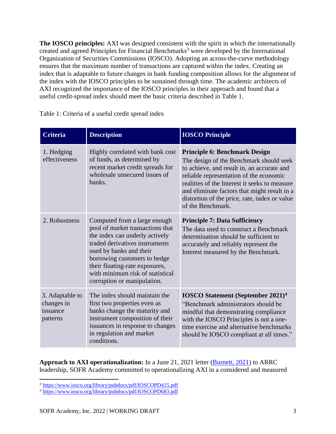**The IOSCO principles:** AXI was designed consistent with the spirit in which the internationally created and agreed Principles for Financial Benchmarks<sup>3</sup> were developed by the International Organization of Securities Commissions (IOSCO). Adopting an across-the-curve methodology ensures that the maximum number of transactions are captured within the index. Creating an index that is adaptable to future changes in bank funding composition allows for the alignment of the index with the IOSCO principles to be sustained through time. The academic architects of AXI recognized the importance of the IOSCO principles in their approach and found that a useful credit-spread index should meet the basic criteria described in Table 1.

| <b>Criteria</b>                                       | <b>Description</b>                                                                                                                                                                                                                                                                                   | <b>IOSCO Principle</b>                                                                                                                                                                                                                                                                                                                          |
|-------------------------------------------------------|------------------------------------------------------------------------------------------------------------------------------------------------------------------------------------------------------------------------------------------------------------------------------------------------------|-------------------------------------------------------------------------------------------------------------------------------------------------------------------------------------------------------------------------------------------------------------------------------------------------------------------------------------------------|
| 1. Hedging<br>effectiveness                           | Highly correlated with bank cost<br>of funds, as determined by<br>recent market credit spreads for<br>wholesale unsecured issues of<br>banks.                                                                                                                                                        | <b>Principle 6: Benchmark Design</b><br>The design of the Benchmark should seek<br>to achieve, and result in, an accurate and<br>reliable representation of the economic<br>realities of the Interest it seeks to measure<br>and eliminate factors that might result in a<br>distortion of the price, rate, index or value<br>of the Benchmark. |
| 2. Robustness                                         | Computed from a large enough<br>pool of market transactions that<br>the index can underly actively<br>traded derivatives instruments<br>used by banks and their<br>borrowing customers to hedge<br>their floating-rate exposures,<br>with minimum risk of statistical<br>corruption or manipulation. | <b>Principle 7: Data Sufficiency</b><br>The data used to construct a Benchmark<br>determination should be sufficient to<br>accurately and reliably represent the<br>Interest measured by the Benchmark.                                                                                                                                         |
| 3. Adaptable to<br>changes in<br>issuance<br>patterns | The index should maintain the<br>first two properties even as<br>banks change the maturity and<br>instrument composition of their<br>issuances in response to changes<br>in regulation and market<br>conditions.                                                                                     | <b>IOSCO Statement (September 2021)</b> <sup>4</sup><br>"Benchmark administrators should be<br>mindful that demonstrating compliance<br>with the IOSCO Principles is not a one-<br>time exercise and alternative benchmarks<br>should be IOSCO compliant at all times."                                                                         |

Table 1: Criteria of a useful credit spread index

**Approach to AXI operationalization:** In a June 21, 2021 letter [\(Burnett, 2021\)](https://sofracademy.com/wp-content/uploads/2021/06/SOFR-Academy-Letter-To-The-ARRC-Providing-An-Update-On-AXI-FXI-FINAL.pdf) to ARRC leadership, SOFR Academy committed to operationalizing AXI in a considered and measured

<sup>3</sup> <https://www.iosco.org/library/pubdocs/pdf/IOSCOPD415.pdf>

<sup>4</sup> <https://www.iosco.org/library/pubdocs/pdf/IOSCOPD683.pdf>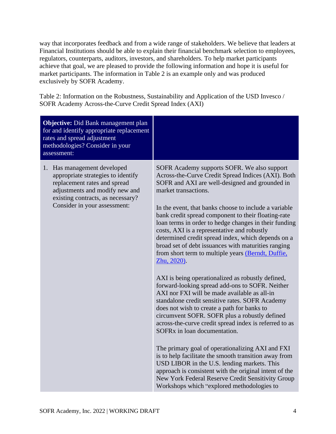way that incorporates feedback and from a wide range of stakeholders. We believe that leaders at Financial Institutions should be able to explain their financial benchmark selection to employees, regulators, counterparts, auditors, investors, and shareholders. To help market participants achieve that goal, we are pleased to provide the following information and hope it is useful for market participants. The information in Table 2 is an example only and was produced exclusively by SOFR Academy.

Table 2: Information on the Robustness, Sustainability and Application of the USD Invesco / SOFR Academy Across-the-Curve Credit Spread Index (AXI)

| <b>Objective:</b> Did Bank management plan<br>for and identify appropriate replacement<br>rates and spread adjustment<br>methodologies? Consider in your<br>assessment:                                  |                                                                                                                                                                                                                                                                                                                                                                                                                                                                                                                                                                                                                                                                                                                                                                                                                                                                                                                                                                                                                                                                                                                                                                                                                                                                                                                                 |
|----------------------------------------------------------------------------------------------------------------------------------------------------------------------------------------------------------|---------------------------------------------------------------------------------------------------------------------------------------------------------------------------------------------------------------------------------------------------------------------------------------------------------------------------------------------------------------------------------------------------------------------------------------------------------------------------------------------------------------------------------------------------------------------------------------------------------------------------------------------------------------------------------------------------------------------------------------------------------------------------------------------------------------------------------------------------------------------------------------------------------------------------------------------------------------------------------------------------------------------------------------------------------------------------------------------------------------------------------------------------------------------------------------------------------------------------------------------------------------------------------------------------------------------------------|
| 1. Has management developed<br>appropriate strategies to identify<br>replacement rates and spread<br>adjustments and modify new and<br>existing contracts, as necessary?<br>Consider in your assessment: | SOFR Academy supports SOFR. We also support<br>Across-the-Curve Credit Spread Indices (AXI). Both<br>SOFR and AXI are well-designed and grounded in<br>market transactions.<br>In the event, that banks choose to include a variable<br>bank credit spread component to their floating-rate<br>loan terms in order to hedge changes in their funding<br>costs, AXI is a representative and robustly<br>determined credit spread index, which depends on a<br>broad set of debt issuances with maturities ranging<br>from short term to multiple years (Berndt, Duffie,<br>Zhu, 2020).<br>AXI is being operationalized as robustly defined,<br>forward-looking spread add-ons to SOFR. Neither<br>AXI nor FXI will be made available as all-in<br>standalone credit sensitive rates. SOFR Academy<br>does not wish to create a path for banks to<br>circumvent SOFR. SOFR plus a robustly defined<br>across-the-curve credit spread index is referred to as<br>SOFR <sub>x</sub> in loan documentation.<br>The primary goal of operationalizing AXI and FXI<br>is to help facilitate the smooth transition away from<br>USD LIBOR in the U.S. lending markets. This<br>approach is consistent with the original intent of the<br>New York Federal Reserve Credit Sensitivity Group<br>Workshops which "explored methodologies to |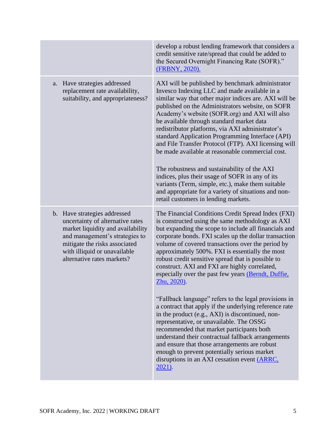|                                                                                                                                                                                                                                        | develop a robust lending framework that considers a<br>credit sensitive rate/spread that could be added to<br>the Secured Overnight Financing Rate (SOFR)."<br>(FRBNY, 2020).                                                                                                                                                                                                                                                                                                                                                                                                                                                                                                                                                                                                            |
|----------------------------------------------------------------------------------------------------------------------------------------------------------------------------------------------------------------------------------------|------------------------------------------------------------------------------------------------------------------------------------------------------------------------------------------------------------------------------------------------------------------------------------------------------------------------------------------------------------------------------------------------------------------------------------------------------------------------------------------------------------------------------------------------------------------------------------------------------------------------------------------------------------------------------------------------------------------------------------------------------------------------------------------|
| Have strategies addressed<br>a.<br>replacement rate availability,<br>suitability, and appropriateness?                                                                                                                                 | AXI will be published by benchmark administrator<br>Invesco Indexing LLC and made available in a<br>similar way that other major indices are. AXI will be<br>published on the Administrators website, on SOFR<br>Academy's website (SOFR.org) and AXI will also<br>be available through standard market data<br>redistributor platforms, via AXI administrator's<br>standard Application Programming Interface (API)<br>and File Transfer Protocol (FTP). AXI licensing will<br>be made available at reasonable commercial cost.<br>The robustness and sustainability of the AXI<br>indices, plus their usage of SOFR in any of its<br>variants (Term, simple, etc.), make them suitable<br>and appropriate for a variety of situations and non-<br>retail customers in lending markets. |
| b. Have strategies addressed<br>uncertainty of alternative rates<br>market liquidity and availability<br>and management's strategies to<br>mitigate the risks associated<br>with illiquid or unavailable<br>alternative rates markets? | The Financial Conditions Credit Spread Index (FXI)<br>is constructed using the same methodology as AXI<br>but expanding the scope to include all financials and<br>corporate bonds. FXI scales up the dollar transaction<br>volume of covered transactions over the period by<br>approximately 500%. FXI is essentially the most<br>robust credit sensitive spread that is possible to<br>construct. AXI and FXI are highly correlated,<br>especially over the past few years (Berndt, Duffie,<br>Zhu, 2020).<br>"Fallback language" refers to the legal provisions in<br>a contract that apply if the underlying reference rate<br>in the product (e.g., AXI) is discontinued, non-<br>representative, or unavailable. The OSSG                                                         |
|                                                                                                                                                                                                                                        | recommended that market participants both<br>understand their contractual fallback arrangements<br>and ensure that those arrangements are robust<br>enough to prevent potentially serious market<br>disruptions in an AXI cessation event (ARRC,<br>2021).                                                                                                                                                                                                                                                                                                                                                                                                                                                                                                                               |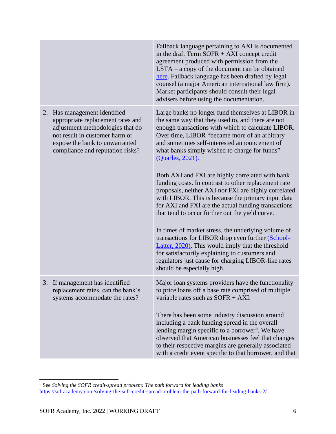|    |                                                                                                                                                                                                            | Fallback language pertaining to AXI is documented<br>in the draft Term $SOFR + AXI$ concept credit<br>agreement produced with permission from the<br>$LSTA - a copy of the document can be obtained$<br>here. Fallback language has been drafted by legal<br>counsel (a major American international law firm).<br>Market participants should consult their legal<br>advisers before using the documentation. |
|----|------------------------------------------------------------------------------------------------------------------------------------------------------------------------------------------------------------|---------------------------------------------------------------------------------------------------------------------------------------------------------------------------------------------------------------------------------------------------------------------------------------------------------------------------------------------------------------------------------------------------------------|
| 2. | Has management identified<br>appropriate replacement rates and<br>adjustment methodologies that do<br>not result in customer harm or<br>expose the bank to unwarranted<br>compliance and reputation risks? | Large banks no longer fund themselves at LIBOR in<br>the same way that they used to, and there are not<br>enough transactions with which to calculate LIBOR.<br>Over time, LIBOR "became more of an arbitrary<br>and sometimes self-interested announcement of<br>what banks simply wished to charge for funds"<br>(Quarles, 2021).                                                                           |
|    |                                                                                                                                                                                                            | Both AXI and FXI are highly correlated with bank<br>funding costs. In contrast to other replacement rate<br>proposals, neither AXI nor FXI are highly correlated<br>with LIBOR. This is because the primary input data<br>for AXI and FXI are the actual funding transactions<br>that tend to occur further out the yield curve.                                                                              |
|    |                                                                                                                                                                                                            | In times of market stress, the underlying volume of<br>transactions for LIBOR drop even further (School-<br>Latter, 2020). This would imply that the threshold<br>for satisfactorily explaining to customers and<br>regulators just cause for charging LIBOR-like rates<br>should be especially high.                                                                                                         |
|    | 3. If management has identified<br>replacement rates, can the bank's<br>systems accommodate the rates?                                                                                                     | Major loan systems providers have the functionality<br>to price loans off a base rate comprised of multiple<br>variable rates such as SOFR + AXI.                                                                                                                                                                                                                                                             |
|    |                                                                                                                                                                                                            | There has been some industry discussion around<br>including a bank funding spread in the overall<br>lending margin specific to a borrower <sup>5</sup> . We have<br>observed that American businesses feel that changes<br>to their respective margins are generally associated<br>with a credit event specific to that borrower, and that                                                                    |

<sup>5</sup> See *Solving the SOFR credit-spread problem: The path forward for leading banks*  <https://sofracademy.com/solving-the-sofr-credit-spread-problem-the-path-forward-for-leading-banks-2/>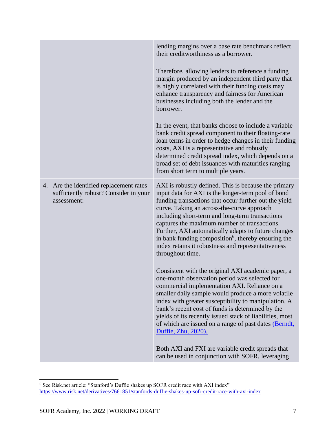|                                                                                                 | lending margins over a base rate benchmark reflect<br>their creditworthiness as a borrower.                                                                                                                                                                                                                                                                                                                                                                                                                              |
|-------------------------------------------------------------------------------------------------|--------------------------------------------------------------------------------------------------------------------------------------------------------------------------------------------------------------------------------------------------------------------------------------------------------------------------------------------------------------------------------------------------------------------------------------------------------------------------------------------------------------------------|
|                                                                                                 | Therefore, allowing lenders to reference a funding<br>margin produced by an independent third party that<br>is highly correlated with their funding costs may<br>enhance transparency and fairness for American<br>businesses including both the lender and the<br>borrower.                                                                                                                                                                                                                                             |
|                                                                                                 | In the event, that banks choose to include a variable<br>bank credit spread component to their floating-rate<br>loan terms in order to hedge changes in their funding<br>costs, AXI is a representative and robustly<br>determined credit spread index, which depends on a<br>broad set of debt issuances with maturities ranging<br>from short term to multiple years.                                                                                                                                                  |
| 4. Are the identified replacement rates<br>sufficiently robust? Consider in your<br>assessment: | AXI is robustly defined. This is because the primary<br>input data for AXI is the longer-term pool of bond<br>funding transactions that occur further out the yield<br>curve. Taking an across-the-curve approach<br>including short-term and long-term transactions<br>captures the maximum number of transactions.<br>Further, AXI automatically adapts to future changes<br>in bank funding composition <sup>6</sup> , thereby ensuring the<br>index retains it robustness and representativeness<br>throughout time. |
|                                                                                                 | Consistent with the original AXI academic paper, a<br>one-month observation period was selected for<br>commercial implementation AXI. Reliance on a<br>smaller daily sample would produce a more volatile<br>index with greater susceptibility to manipulation. A<br>bank's recent cost of funds is determined by the<br>yields of its recently issued stack of liabilities, most<br>of which are issued on a range of past dates (Berndt,<br>Duffie, Zhu, 2020).                                                        |
|                                                                                                 | Both AXI and FXI are variable credit spreads that<br>can be used in conjunction with SOFR, leveraging                                                                                                                                                                                                                                                                                                                                                                                                                    |

<sup>&</sup>lt;sup>6</sup> See Risk.net article: "Stanford's Duffie shakes up SOFR credit race with AXI index" <https://www.risk.net/derivatives/7661851/stanfords-duffie-shakes-up-sofr-credit-race-with-axi-index>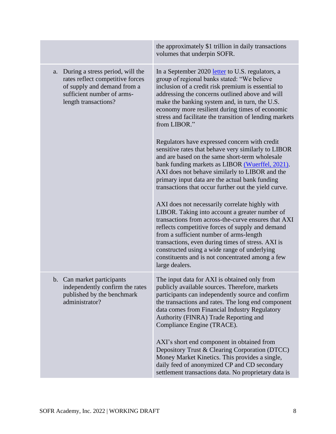|    |                                                                                                                                                           | the approximately \$1 trillion in daily transactions<br>volumes that underpin SOFR.                                                                                                                                                                                                                                                                                                                                               |
|----|-----------------------------------------------------------------------------------------------------------------------------------------------------------|-----------------------------------------------------------------------------------------------------------------------------------------------------------------------------------------------------------------------------------------------------------------------------------------------------------------------------------------------------------------------------------------------------------------------------------|
| a. | During a stress period, will the<br>rates reflect competitive forces<br>of supply and demand from a<br>sufficient number of arms-<br>length transactions? | In a September 2020 letter to U.S. regulators, a<br>group of regional banks stated: "We believe<br>inclusion of a credit risk premium is essential to<br>addressing the concerns outlined above and will<br>make the banking system and, in turn, the U.S.<br>economy more resilient during times of economic<br>stress and facilitate the transition of lending markets<br>from LIBOR."                                          |
|    |                                                                                                                                                           | Regulators have expressed concern with credit<br>sensitive rates that behave very similarly to LIBOR<br>and are based on the same short-term wholesale<br>bank funding markets as LIBOR (Wuerffel, 2021).<br>AXI does not behave similarly to LIBOR and the<br>primary input data are the actual bank funding<br>transactions that occur further out the yield curve.                                                             |
|    |                                                                                                                                                           | AXI does not necessarily correlate highly with<br>LIBOR. Taking into account a greater number of<br>transactions from across-the-curve ensures that AXI<br>reflects competitive forces of supply and demand<br>from a sufficient number of arms-length<br>transactions, even during times of stress. AXI is<br>constructed using a wide range of underlying<br>constituents and is not concentrated among a few<br>large dealers. |
|    | b. Can market participants<br>independently confirm the rates<br>published by the benchmark<br>administrator?                                             | The input data for AXI is obtained only from<br>publicly available sources. Therefore, markets<br>participants can independently source and confirm<br>the transactions and rates. The long end component<br>data comes from Financial Industry Regulatory<br>Authority (FINRA) Trade Reporting and<br>Compliance Engine (TRACE).                                                                                                 |
|    |                                                                                                                                                           | AXI's short end component in obtained from<br>Depository Trust & Clearing Corporation (DTCC)<br>Money Market Kinetics. This provides a single,<br>daily feed of anonymized CP and CD secondary<br>settlement transactions data. No proprietary data is                                                                                                                                                                            |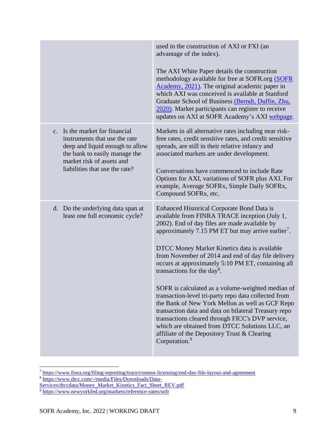|                                                                                                                                                                  | used in the construction of AXI or FXI (an<br>advantage of the index).                                                                                                                                                                                                                                                                                             |
|------------------------------------------------------------------------------------------------------------------------------------------------------------------|--------------------------------------------------------------------------------------------------------------------------------------------------------------------------------------------------------------------------------------------------------------------------------------------------------------------------------------------------------------------|
|                                                                                                                                                                  | The AXI White Paper details the construction<br>methodology available for free at SOFR.org (SOFR<br>Academy, 2021). The original academic paper in<br>which AXI was conceived is available at Stanford<br>Graduate School of Business (Berndt, Duffie, Zhu,<br>2020). Market participants can register to receive<br>updates on AXI at SOFR Academy's AXI webpage. |
| c. Is the market for financial<br>instruments that use the rate<br>deep and liquid enough to allow<br>the bank to easily manage the<br>market risk of assets and | Markets in all alternative rates including near risk-<br>free rates, credit sensitive rates, and credit sensitive<br>spreads, are still in their relative infancy and<br>associated markets are under development.                                                                                                                                                 |
| liabilities that use the rate?                                                                                                                                   | Conversations have commenced to include Rate<br>Options for AXI, variations of SOFR plus AXI. For<br>example, Average SOFRx, Simple Daily SOFRx,<br>Compound SOFR <sub>x</sub> , etc.                                                                                                                                                                              |
| d. Do the underlying data span at<br>least one full economic cycle?                                                                                              | <b>Enhanced Historical Corporate Bond Data is</b><br>available from FINRA TRACE inception (July 1,<br>2002). End of day files are made available by<br>approximately 7.15 PM ET but may arrive earlier <sup>7</sup> .                                                                                                                                              |
|                                                                                                                                                                  | DTCC Money Market Kinetics data is available<br>from November of 2014 and end of day file delivery<br>occurs at approximately 5:10 PM ET, containing all<br>transactions for the day <sup>8</sup> .                                                                                                                                                                |
|                                                                                                                                                                  | SOFR is calculated as a volume-weighted median of<br>transaction-level tri-party repo data collected from<br>the Bank of New York Mellon as well as GCF Repo<br>transaction data and data on bilateral Treasury repo<br>transactions cleared through FICC's DVP service,                                                                                           |
|                                                                                                                                                                  | which are obtained from DTCC Solutions LLC, an<br>affiliate of the Depository Trust & Clearing<br>Corporation. <sup>9</sup>                                                                                                                                                                                                                                        |

<sup>7</sup> <https://www.finra.org/filing-reporting/trace/content-licensing/end-day-file-layout-and-agreement>

<sup>8</sup> [https://www.dtcc.com/-/media/Files/Downloads/Data-](https://www.dtcc.com/-/media/Files/Downloads/Data-Services/dtccdata/Money_Market_Kinetics_Fact_Sheet_REV.pdf)

[Services/dtccdata/Money\\_Market\\_Kinetics\\_Fact\\_Sheet\\_REV.pdf](https://www.dtcc.com/-/media/Files/Downloads/Data-Services/dtccdata/Money_Market_Kinetics_Fact_Sheet_REV.pdf)

<sup>&</sup>lt;sup>9</sup> <https://www.newyorkfed.org/markets/reference-rates/sofr>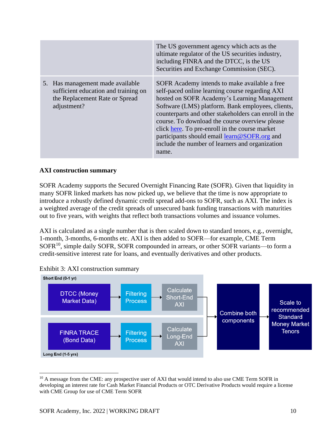|                                                                                                                           | The US government agency which acts as the<br>ultimate regulator of the US securities industry,<br>including FINRA and the DTCC, is the US<br>Securities and Exchange Commission (SEC).                                                                                                                                                                                                                                                                                        |
|---------------------------------------------------------------------------------------------------------------------------|--------------------------------------------------------------------------------------------------------------------------------------------------------------------------------------------------------------------------------------------------------------------------------------------------------------------------------------------------------------------------------------------------------------------------------------------------------------------------------|
| 5. Has management made available<br>sufficient education and training on<br>the Replacement Rate or Spread<br>adjustment? | SOFR Academy intends to make available a free<br>self-paced online learning course regarding AXI<br>hosted on SOFR Academy's Learning Management<br>Software (LMS) platform. Bank employees, clients,<br>counterparts and other stakeholders can enroll in the<br>course. To download the course overview please<br>click here. To pre-enroll in the course market<br>participants should email learn@SOFR.org and<br>include the number of learners and organization<br>name. |

# **AXI construction summary**

SOFR Academy supports the Secured Overnight Financing Rate (SOFR). Given that liquidity in many SOFR linked markets has now picked up, we believe that the time is now appropriate to introduce a robustly defined dynamic credit spread add-ons to SOFR, such as AXI. The index is a weighted average of the credit spreads of unsecured bank funding transactions with maturities out to five years, with weights that reflect both transactions volumes and issuance volumes.

AXI is calculated as a single number that is then scaled down to standard tenors, e.g., overnight, 1-month, 3-months, 6-months etc. AXI is then added to SOFR—for example, CME Term SOFR<sup>10</sup>, simple daily SOFR, SOFR compounded in arrears, or other SOFR variants—to form a credit-sensitive interest rate for loans, and eventually derivatives and other products.



Exhibit 3: AXI construction summary

<sup>&</sup>lt;sup>10</sup> A message from the CME: any prospective user of AXI that would intend to also use CME Term SOFR in developing an interest rate for Cash Market Financial Products or OTC Derivative Products would require a license with CME Group for use of CME Term SOFR